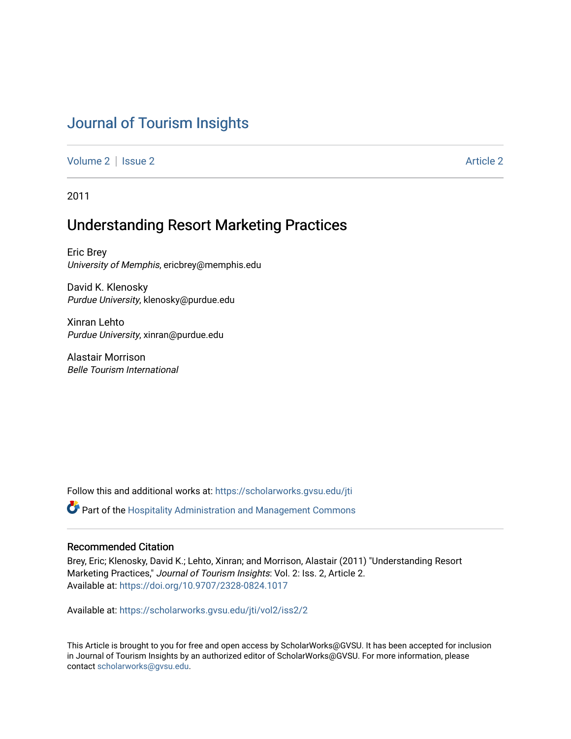# [Journal of Tourism Insights](https://scholarworks.gvsu.edu/jti)

[Volume 2](https://scholarworks.gvsu.edu/jti/vol2) | [Issue 2](https://scholarworks.gvsu.edu/jti/vol2/iss2) Article 2

2011

## Understanding Resort Marketing Practices

Eric Brey University of Memphis, ericbrey@memphis.edu

David K. Klenosky Purdue University, klenosky@purdue.edu

Xinran Lehto Purdue University, xinran@purdue.edu

Alastair Morrison Belle Tourism International

Follow this and additional works at: [https://scholarworks.gvsu.edu/jti](https://scholarworks.gvsu.edu/jti?utm_source=scholarworks.gvsu.edu%2Fjti%2Fvol2%2Fiss2%2F2&utm_medium=PDF&utm_campaign=PDFCoverPages) 

Part of the [Hospitality Administration and Management Commons](http://network.bepress.com/hgg/discipline/632?utm_source=scholarworks.gvsu.edu%2Fjti%2Fvol2%2Fiss2%2F2&utm_medium=PDF&utm_campaign=PDFCoverPages) 

#### Recommended Citation

Brey, Eric; Klenosky, David K.; Lehto, Xinran; and Morrison, Alastair (2011) "Understanding Resort Marketing Practices," Journal of Tourism Insights: Vol. 2: Iss. 2, Article 2. Available at:<https://doi.org/10.9707/2328-0824.1017>

Available at: [https://scholarworks.gvsu.edu/jti/vol2/iss2/2](https://scholarworks.gvsu.edu/jti/vol2/iss2/2?utm_source=scholarworks.gvsu.edu%2Fjti%2Fvol2%2Fiss2%2F2&utm_medium=PDF&utm_campaign=PDFCoverPages)

This Article is brought to you for free and open access by ScholarWorks@GVSU. It has been accepted for inclusion in Journal of Tourism Insights by an authorized editor of ScholarWorks@GVSU. For more information, please contact [scholarworks@gvsu.edu.](mailto:scholarworks@gvsu.edu)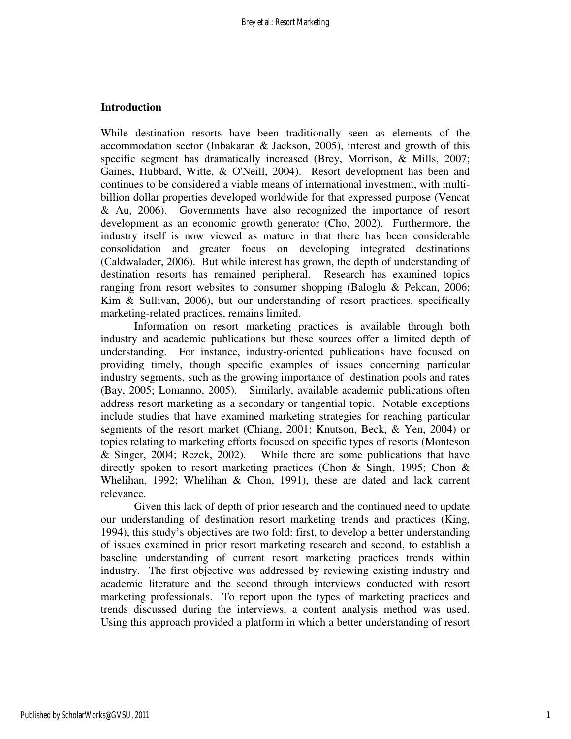#### **Introduction**

While destination resorts have been traditionally seen as elements of the accommodation sector (Inbakaran  $\&$  Jackson, 2005), interest and growth of this specific segment has dramatically increased (Brey, Morrison, & Mills, 2007; Gaines, Hubbard, Witte, & O'Neill, 2004). Resort development has been and continues to be considered a viable means of international investment, with multibillion dollar properties developed worldwide for that expressed purpose (Vencat & Au, 2006). Governments have also recognized the importance of resort development as an economic growth generator (Cho, 2002). Furthermore, the industry itself is now viewed as mature in that there has been considerable consolidation and greater focus on developing integrated destinations (Caldwalader, 2006). But while interest has grown, the depth of understanding of destination resorts has remained peripheral. Research has examined topics ranging from resort websites to consumer shopping (Baloglu & Pekcan, 2006; Kim & Sullivan, 2006), but our understanding of resort practices, specifically marketing-related practices, remains limited.

 Information on resort marketing practices is available through both industry and academic publications but these sources offer a limited depth of understanding. For instance, industry-oriented publications have focused on providing timely, though specific examples of issues concerning particular industry segments, such as the growing importance of destination pools and rates (Bay, 2005; Lomanno, 2005). Similarly, available academic publications often address resort marketing as a secondary or tangential topic. Notable exceptions include studies that have examined marketing strategies for reaching particular segments of the resort market (Chiang, 2001; Knutson, Beck, & Yen, 2004) or topics relating to marketing efforts focused on specific types of resorts (Monteson & Singer, 2004; Rezek, 2002). While there are some publications that have directly spoken to resort marketing practices (Chon & Singh, 1995; Chon & Whelihan, 1992; Whelihan & Chon, 1991), these are dated and lack current relevance.

 Given this lack of depth of prior research and the continued need to update our understanding of destination resort marketing trends and practices (King, 1994), this study's objectives are two fold: first, to develop a better understanding of issues examined in prior resort marketing research and second, to establish a baseline understanding of current resort marketing practices trends within industry. The first objective was addressed by reviewing existing industry and academic literature and the second through interviews conducted with resort marketing professionals. To report upon the types of marketing practices and trends discussed during the interviews, a content analysis method was used. Using this approach provided a platform in which a better understanding of resort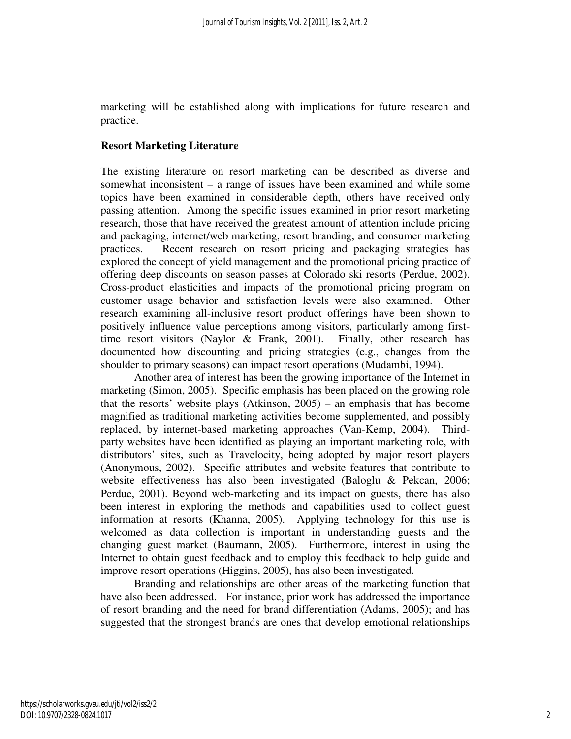marketing will be established along with implications for future research and practice.

## **Resort Marketing Literature**

The existing literature on resort marketing can be described as diverse and somewhat inconsistent – a range of issues have been examined and while some topics have been examined in considerable depth, others have received only passing attention. Among the specific issues examined in prior resort marketing research, those that have received the greatest amount of attention include pricing and packaging, internet/web marketing, resort branding, and consumer marketing practices. Recent research on resort pricing and packaging strategies has explored the concept of yield management and the promotional pricing practice of offering deep discounts on season passes at Colorado ski resorts (Perdue, 2002). Cross-product elasticities and impacts of the promotional pricing program on customer usage behavior and satisfaction levels were also examined. Other research examining all-inclusive resort product offerings have been shown to positively influence value perceptions among visitors, particularly among firsttime resort visitors (Naylor & Frank, 2001). Finally, other research has documented how discounting and pricing strategies (e.g., changes from the shoulder to primary seasons) can impact resort operations (Mudambi, 1994).

 Another area of interest has been the growing importance of the Internet in marketing (Simon, 2005). Specific emphasis has been placed on the growing role that the resorts' website plays (Atkinson, 2005) – an emphasis that has become magnified as traditional marketing activities become supplemented, and possibly replaced, by internet-based marketing approaches (Van-Kemp, 2004). Thirdparty websites have been identified as playing an important marketing role, with distributors' sites, such as Travelocity, being adopted by major resort players (Anonymous, 2002). Specific attributes and website features that contribute to website effectiveness has also been investigated (Baloglu & Pekcan, 2006; Perdue, 2001). Beyond web-marketing and its impact on guests, there has also been interest in exploring the methods and capabilities used to collect guest information at resorts (Khanna, 2005). Applying technology for this use is welcomed as data collection is important in understanding guests and the changing guest market (Baumann, 2005). Furthermore, interest in using the Internet to obtain guest feedback and to employ this feedback to help guide and improve resort operations (Higgins, 2005), has also been investigated.

Branding and relationships are other areas of the marketing function that have also been addressed. For instance, prior work has addressed the importance of resort branding and the need for brand differentiation (Adams, 2005); and has suggested that the strongest brands are ones that develop emotional relationships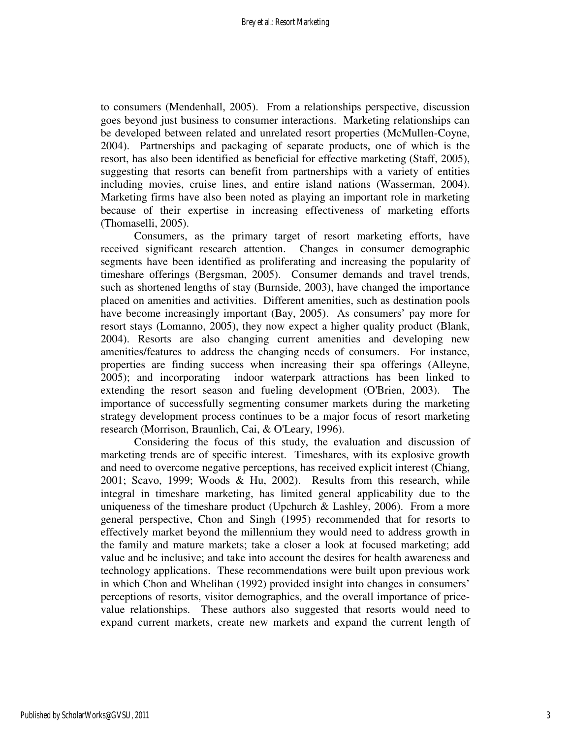to consumers (Mendenhall, 2005). From a relationships perspective, discussion goes beyond just business to consumer interactions. Marketing relationships can be developed between related and unrelated resort properties (McMullen-Coyne, 2004). Partnerships and packaging of separate products, one of which is the resort, has also been identified as beneficial for effective marketing (Staff, 2005), suggesting that resorts can benefit from partnerships with a variety of entities including movies, cruise lines, and entire island nations (Wasserman, 2004). Marketing firms have also been noted as playing an important role in marketing because of their expertise in increasing effectiveness of marketing efforts (Thomaselli, 2005).

 Consumers, as the primary target of resort marketing efforts, have received significant research attention. Changes in consumer demographic segments have been identified as proliferating and increasing the popularity of timeshare offerings (Bergsman, 2005). Consumer demands and travel trends, such as shortened lengths of stay (Burnside, 2003), have changed the importance placed on amenities and activities. Different amenities, such as destination pools have become increasingly important (Bay, 2005). As consumers' pay more for resort stays (Lomanno, 2005), they now expect a higher quality product (Blank, 2004). Resorts are also changing current amenities and developing new amenities/features to address the changing needs of consumers. For instance, properties are finding success when increasing their spa offerings (Alleyne, 2005); and incorporating indoor waterpark attractions has been linked to extending the resort season and fueling development (O'Brien, 2003). The importance of successfully segmenting consumer markets during the marketing strategy development process continues to be a major focus of resort marketing research (Morrison, Braunlich, Cai, & O'Leary, 1996).

 Considering the focus of this study, the evaluation and discussion of marketing trends are of specific interest. Timeshares, with its explosive growth and need to overcome negative perceptions, has received explicit interest (Chiang, 2001; Scavo, 1999; Woods & Hu, 2002). Results from this research, while integral in timeshare marketing, has limited general applicability due to the uniqueness of the timeshare product (Upchurch  $\&$  Lashley, 2006). From a more general perspective, Chon and Singh (1995) recommended that for resorts to effectively market beyond the millennium they would need to address growth in the family and mature markets; take a closer a look at focused marketing; add value and be inclusive; and take into account the desires for health awareness and technology applications. These recommendations were built upon previous work in which Chon and Whelihan (1992) provided insight into changes in consumers' perceptions of resorts, visitor demographics, and the overall importance of pricevalue relationships. These authors also suggested that resorts would need to expand current markets, create new markets and expand the current length of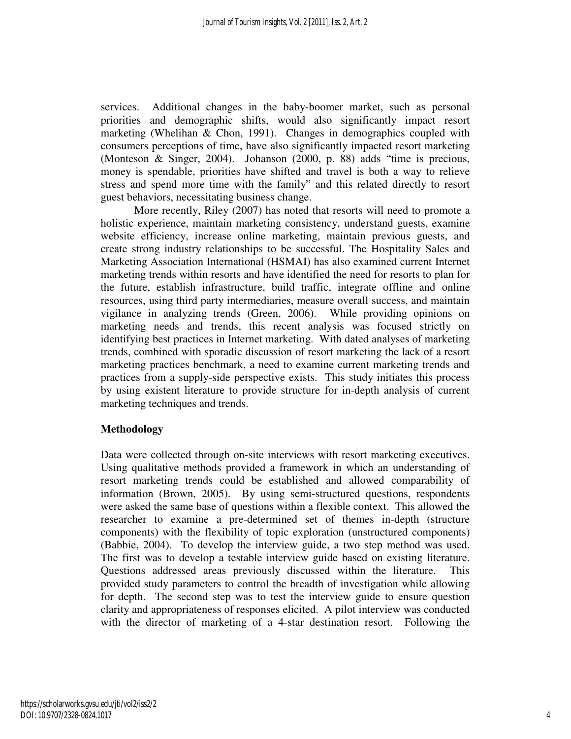services. Additional changes in the baby-boomer market, such as personal priorities and demographic shifts, would also significantly impact resort marketing (Whelihan & Chon, 1991). Changes in demographics coupled with consumers perceptions of time, have also significantly impacted resort marketing (Monteson & Singer, 2004). Johanson (2000, p. 88) adds "time is precious, money is spendable, priorities have shifted and travel is both a way to relieve stress and spend more time with the family" and this related directly to resort guest behaviors, necessitating business change.

More recently, Riley (2007) has noted that resorts will need to promote a holistic experience, maintain marketing consistency, understand guests, examine website efficiency, increase online marketing, maintain previous guests, and create strong industry relationships to be successful. The Hospitality Sales and Marketing Association International (HSMAI) has also examined current Internet marketing trends within resorts and have identified the need for resorts to plan for the future, establish infrastructure, build traffic, integrate offline and online resources, using third party intermediaries, measure overall success, and maintain vigilance in analyzing trends (Green, 2006). While providing opinions on marketing needs and trends, this recent analysis was focused strictly on identifying best practices in Internet marketing. With dated analyses of marketing trends, combined with sporadic discussion of resort marketing the lack of a resort marketing practices benchmark, a need to examine current marketing trends and practices from a supply-side perspective exists. This study initiates this process by using existent literature to provide structure for in-depth analysis of current marketing techniques and trends.

## **Methodology**

Data were collected through on-site interviews with resort marketing executives. Using qualitative methods provided a framework in which an understanding of resort marketing trends could be established and allowed comparability of information (Brown, 2005). By using semi-structured questions, respondents were asked the same base of questions within a flexible context. This allowed the researcher to examine a pre-determined set of themes in-depth (structure components) with the flexibility of topic exploration (unstructured components) (Babbie, 2004). To develop the interview guide, a two step method was used. The first was to develop a testable interview guide based on existing literature. Questions addressed areas previously discussed within the literature. This provided study parameters to control the breadth of investigation while allowing for depth. The second step was to test the interview guide to ensure question clarity and appropriateness of responses elicited. A pilot interview was conducted with the director of marketing of a 4-star destination resort. Following the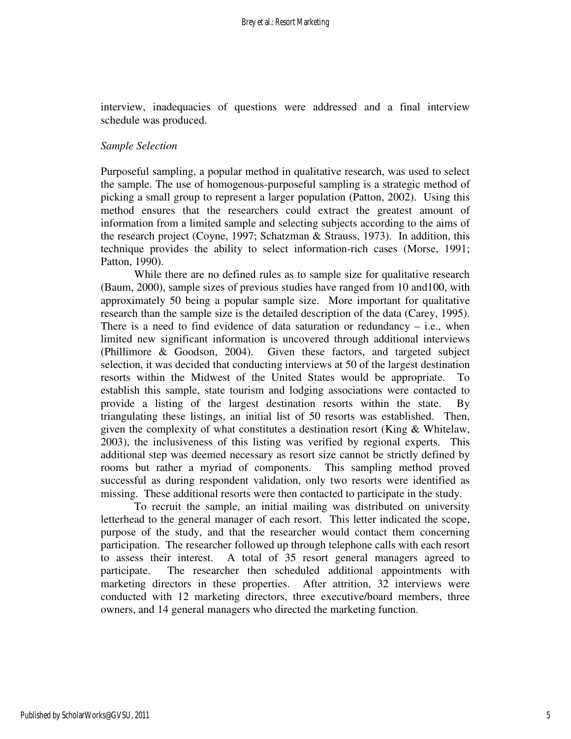interview, inadequacies of questions were addressed and a final interview schedule was produced.

#### *Sample Selection*

Purposeful sampling, a popular method in qualitative research, was used to select the sample. The use of homogenous-purposeful sampling is a strategic method of picking a small group to represent a larger population (Patton, 2002). Using this method ensures that the researchers could extract the greatest amount of information from a limited sample and selecting subjects according to the aims of the research project (Coyne, 1997; Schatzman & Strauss, 1973). In addition, this technique provides the ability to select information-rich cases (Morse, 1991; Patton, 1990).

While there are no defined rules as to sample size for qualitative research (Baum, 2000), sample sizes of previous studies have ranged from 10 and100, with approximately 50 being a popular sample size. More important for qualitative research than the sample size is the detailed description of the data (Carey, 1995). There is a need to find evidence of data saturation or redundancy  $-$  i.e., when limited new significant information is uncovered through additional interviews (Phillimore & Goodson, 2004). Given these factors, and targeted subject selection, it was decided that conducting interviews at 50 of the largest destination resorts within the Midwest of the United States would be appropriate. To establish this sample, state tourism and lodging associations were contacted to provide a listing of the largest destination resorts within the state. By triangulating these listings, an initial list of 50 resorts was established. Then, given the complexity of what constitutes a destination resort (King & Whitelaw, 2003), the inclusiveness of this listing was verified by regional experts. This additional step was deemed necessary as resort size cannot be strictly defined by rooms but rather a myriad of components. This sampling method proved successful as during respondent validation, only two resorts were identified as missing. These additional resorts were then contacted to participate in the study.

To recruit the sample, an initial mailing was distributed on university letterhead to the general manager of each resort. This letter indicated the scope, purpose of the study, and that the researcher would contact them concerning participation. The researcher followed up through telephone calls with each resort to assess their interest. A total of 35 resort general managers agreed to participate. The researcher then scheduled additional appointments with marketing directors in these properties. After attrition, 32 interviews were conducted with 12 marketing directors, three executive/board members, three owners, and 14 general managers who directed the marketing function.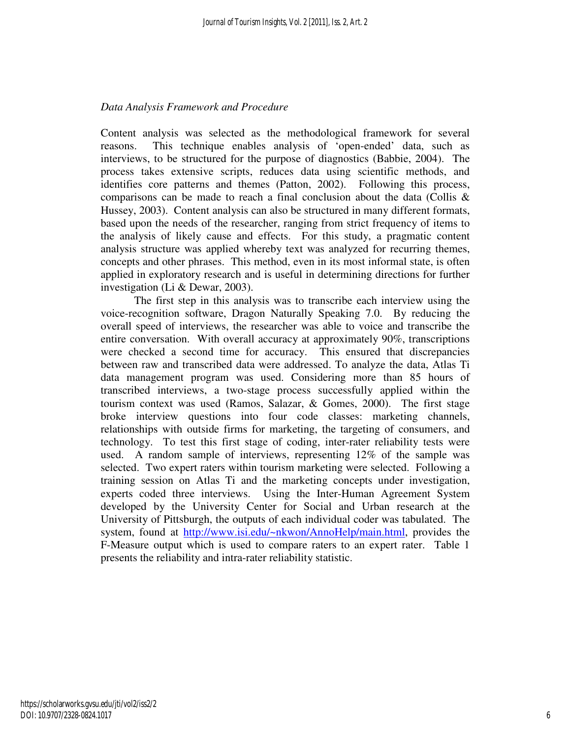## *Data Analysis Framework and Procedure*

Content analysis was selected as the methodological framework for several reasons. This technique enables analysis of 'open-ended' data, such as interviews, to be structured for the purpose of diagnostics (Babbie, 2004). The process takes extensive scripts, reduces data using scientific methods, and identifies core patterns and themes (Patton, 2002). Following this process, comparisons can be made to reach a final conclusion about the data (Collis  $\&$ Hussey, 2003). Content analysis can also be structured in many different formats, based upon the needs of the researcher, ranging from strict frequency of items to the analysis of likely cause and effects. For this study, a pragmatic content analysis structure was applied whereby text was analyzed for recurring themes, concepts and other phrases. This method, even in its most informal state, is often applied in exploratory research and is useful in determining directions for further investigation (Li & Dewar, 2003).

The first step in this analysis was to transcribe each interview using the voice-recognition software, Dragon Naturally Speaking 7.0. By reducing the overall speed of interviews, the researcher was able to voice and transcribe the entire conversation. With overall accuracy at approximately 90%, transcriptions were checked a second time for accuracy. This ensured that discrepancies between raw and transcribed data were addressed. To analyze the data, Atlas Ti data management program was used. Considering more than 85 hours of transcribed interviews, a two-stage process successfully applied within the tourism context was used (Ramos, Salazar, & Gomes, 2000). The first stage broke interview questions into four code classes: marketing channels, relationships with outside firms for marketing, the targeting of consumers, and technology. To test this first stage of coding, inter-rater reliability tests were used. A random sample of interviews, representing 12% of the sample was selected. Two expert raters within tourism marketing were selected. Following a training session on Atlas Ti and the marketing concepts under investigation, experts coded three interviews. Using the Inter-Human Agreement System developed by the University Center for Social and Urban research at the University of Pittsburgh, the outputs of each individual coder was tabulated. The system, found at http://www.isi.edu/~nkwon/AnnoHelp/main.html, provides the F-Measure output which is used to compare raters to an expert rater. Table 1 presents the reliability and intra-rater reliability statistic.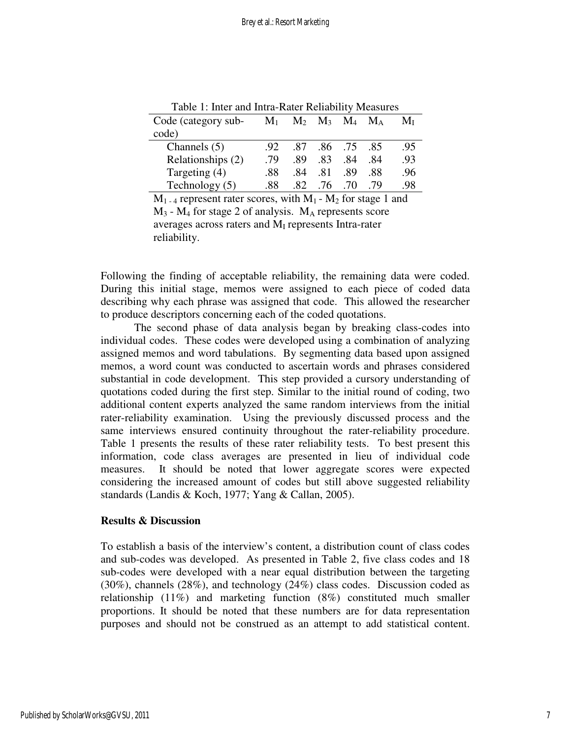| Code (category sub- | $M_1$           |     |     | $M_2$ $M_3$ $M_4$ $M_A$ |     | $M_{\rm I}$ |
|---------------------|-----------------|-----|-----|-------------------------|-----|-------------|
| code)               |                 |     |     |                         |     |             |
| Channels $(5)$      | 92 <sub>1</sub> | .87 |     | .86 .75 .85             |     | .95         |
| Relationships (2)   | .79             | .89 | .83 | .84                     | .84 | .93         |
| Targeting (4)       | .88             | -84 | .81 | .89                     | -88 | .96         |
| Technology $(5)$    | .88             | 82  | .76 | -70                     | 79  | -98         |

Table 1: Inter and Intra-Rater Reliability Measures

 $M<sub>1-4</sub>$  represent rater scores, with  $M<sub>1</sub>$  -  $M<sub>2</sub>$  for stage 1 and  $M_3$  -  $M_4$  for stage 2 of analysis.  $M_A$  represents score averages across raters and MI represents Intra-rater reliability.

Following the finding of acceptable reliability, the remaining data were coded. During this initial stage, memos were assigned to each piece of coded data describing why each phrase was assigned that code. This allowed the researcher to produce descriptors concerning each of the coded quotations.

 The second phase of data analysis began by breaking class-codes into individual codes. These codes were developed using a combination of analyzing assigned memos and word tabulations. By segmenting data based upon assigned memos, a word count was conducted to ascertain words and phrases considered substantial in code development. This step provided a cursory understanding of quotations coded during the first step. Similar to the initial round of coding, two additional content experts analyzed the same random interviews from the initial rater-reliability examination. Using the previously discussed process and the same interviews ensured continuity throughout the rater-reliability procedure. Table 1 presents the results of these rater reliability tests. To best present this information, code class averages are presented in lieu of individual code measures. It should be noted that lower aggregate scores were expected considering the increased amount of codes but still above suggested reliability standards (Landis & Koch, 1977; Yang & Callan, 2005).

#### **Results & Discussion**

To establish a basis of the interview's content, a distribution count of class codes and sub-codes was developed. As presented in Table 2, five class codes and 18 sub-codes were developed with a near equal distribution between the targeting (30%), channels (28%), and technology (24%) class codes. Discussion coded as relationship (11%) and marketing function (8%) constituted much smaller proportions. It should be noted that these numbers are for data representation purposes and should not be construed as an attempt to add statistical content.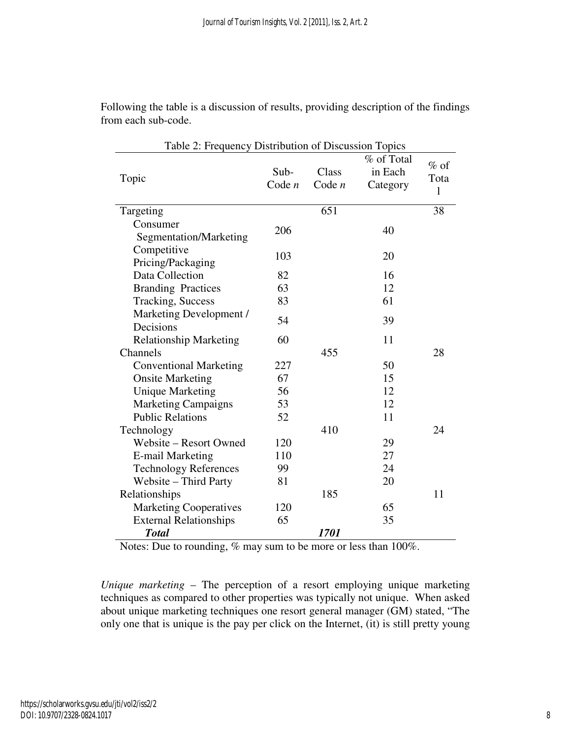| Table 2: Frequency Distribution of Discussion Topics |                  |                   |                                   |                     |  |  |  |
|------------------------------------------------------|------------------|-------------------|-----------------------------------|---------------------|--|--|--|
| Topic                                                | Sub-<br>Code $n$ | Class<br>Code $n$ | % of Total<br>in Each<br>Category | $%$ of<br>Tota<br>1 |  |  |  |
| Targeting                                            |                  | 651               |                                   | 38                  |  |  |  |
| Consumer<br>Segmentation/Marketing                   | 206              |                   | 40                                |                     |  |  |  |
| Competitive<br>Pricing/Packaging                     | 103              |                   | 20                                |                     |  |  |  |
| Data Collection                                      | 82               |                   | 16                                |                     |  |  |  |
| <b>Branding Practices</b>                            | 63               |                   | 12                                |                     |  |  |  |
| <b>Tracking, Success</b>                             | 83               |                   | 61                                |                     |  |  |  |
| Marketing Development /<br>Decisions                 | 54               |                   | 39                                |                     |  |  |  |
| <b>Relationship Marketing</b>                        | 60               |                   | 11                                |                     |  |  |  |
| Channels                                             |                  | 455               |                                   | 28                  |  |  |  |
| <b>Conventional Marketing</b>                        | 227              |                   | 50                                |                     |  |  |  |
| <b>Onsite Marketing</b>                              | 67               |                   | 15                                |                     |  |  |  |
| <b>Unique Marketing</b>                              | 56               |                   | 12                                |                     |  |  |  |
| <b>Marketing Campaigns</b>                           | 53               |                   | 12                                |                     |  |  |  |
| <b>Public Relations</b>                              | 52               |                   | 11                                |                     |  |  |  |
| Technology                                           |                  | 410               |                                   | 24                  |  |  |  |
| Website - Resort Owned                               | 120              |                   | 29                                |                     |  |  |  |
| <b>E-mail Marketing</b>                              | 110              |                   | 27                                |                     |  |  |  |
| <b>Technology References</b>                         | 99               |                   | 24                                |                     |  |  |  |
| Website - Third Party                                | 81               |                   | 20                                |                     |  |  |  |
| Relationships                                        |                  | 185               |                                   | 11                  |  |  |  |
| <b>Marketing Cooperatives</b>                        | 120              |                   | 65                                |                     |  |  |  |
| <b>External Relationships</b>                        | 65               |                   | 35                                |                     |  |  |  |
| <b>Total</b>                                         |                  | 1701              |                                   |                     |  |  |  |

Following the table is a discussion of results, providing description of the findings from each sub-code.

Notes: Due to rounding, % may sum to be more or less than 100%.

*Unique marketing* – The perception of a resort employing unique marketing techniques as compared to other properties was typically not unique. When asked about unique marketing techniques one resort general manager (GM) stated, "The only one that is unique is the pay per click on the Internet, (it) is still pretty young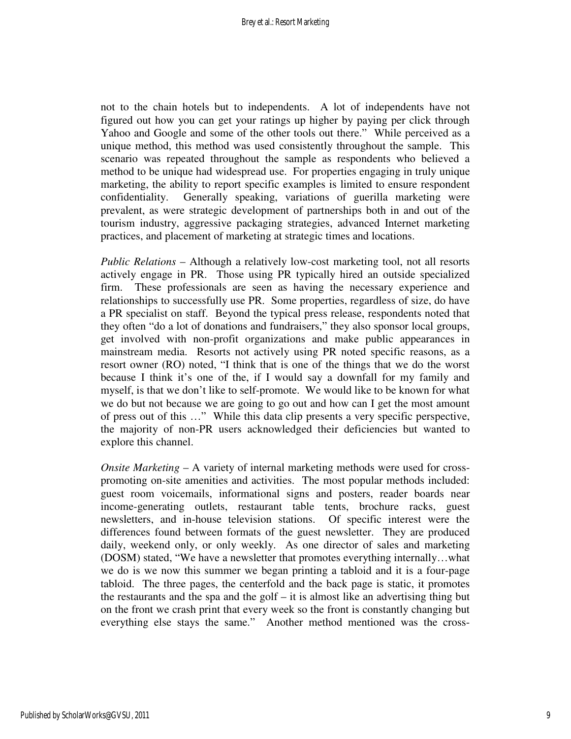not to the chain hotels but to independents. A lot of independents have not figured out how you can get your ratings up higher by paying per click through Yahoo and Google and some of the other tools out there." While perceived as a unique method, this method was used consistently throughout the sample. This scenario was repeated throughout the sample as respondents who believed a method to be unique had widespread use. For properties engaging in truly unique marketing, the ability to report specific examples is limited to ensure respondent confidentiality. Generally speaking, variations of guerilla marketing were prevalent, as were strategic development of partnerships both in and out of the tourism industry, aggressive packaging strategies, advanced Internet marketing practices, and placement of marketing at strategic times and locations.

*Public Relations* – Although a relatively low-cost marketing tool, not all resorts actively engage in PR. Those using PR typically hired an outside specialized firm. These professionals are seen as having the necessary experience and relationships to successfully use PR. Some properties, regardless of size, do have a PR specialist on staff. Beyond the typical press release, respondents noted that they often "do a lot of donations and fundraisers," they also sponsor local groups, get involved with non-profit organizations and make public appearances in mainstream media. Resorts not actively using PR noted specific reasons, as a resort owner (RO) noted, "I think that is one of the things that we do the worst because I think it's one of the, if I would say a downfall for my family and myself, is that we don't like to self-promote. We would like to be known for what we do but not because we are going to go out and how can I get the most amount of press out of this …" While this data clip presents a very specific perspective, the majority of non-PR users acknowledged their deficiencies but wanted to explore this channel.

*Onsite Marketing* – A variety of internal marketing methods were used for crosspromoting on-site amenities and activities. The most popular methods included: guest room voicemails, informational signs and posters, reader boards near income-generating outlets, restaurant table tents, brochure racks, guest newsletters, and in-house television stations. Of specific interest were the differences found between formats of the guest newsletter. They are produced daily, weekend only, or only weekly. As one director of sales and marketing (DOSM) stated, "We have a newsletter that promotes everything internally…what we do is we now this summer we began printing a tabloid and it is a four-page tabloid. The three pages, the centerfold and the back page is static, it promotes the restaurants and the spa and the golf – it is almost like an advertising thing but on the front we crash print that every week so the front is constantly changing but everything else stays the same." Another method mentioned was the cross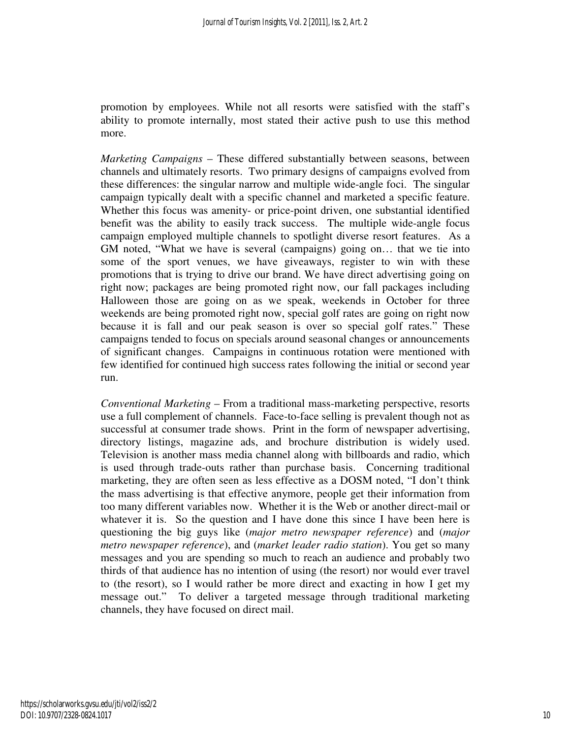promotion by employees. While not all resorts were satisfied with the staff's ability to promote internally, most stated their active push to use this method more.

*Marketing Campaigns* – These differed substantially between seasons, between channels and ultimately resorts. Two primary designs of campaigns evolved from these differences: the singular narrow and multiple wide-angle foci. The singular campaign typically dealt with a specific channel and marketed a specific feature. Whether this focus was amenity- or price-point driven, one substantial identified benefit was the ability to easily track success. The multiple wide-angle focus campaign employed multiple channels to spotlight diverse resort features. As a GM noted, "What we have is several (campaigns) going on… that we tie into some of the sport venues, we have giveaways, register to win with these promotions that is trying to drive our brand. We have direct advertising going on right now; packages are being promoted right now, our fall packages including Halloween those are going on as we speak, weekends in October for three weekends are being promoted right now, special golf rates are going on right now because it is fall and our peak season is over so special golf rates." These campaigns tended to focus on specials around seasonal changes or announcements of significant changes. Campaigns in continuous rotation were mentioned with few identified for continued high success rates following the initial or second year run.

*Conventional Marketing* – From a traditional mass-marketing perspective, resorts use a full complement of channels. Face-to-face selling is prevalent though not as successful at consumer trade shows. Print in the form of newspaper advertising, directory listings, magazine ads, and brochure distribution is widely used. Television is another mass media channel along with billboards and radio, which is used through trade-outs rather than purchase basis. Concerning traditional marketing, they are often seen as less effective as a DOSM noted, "I don't think the mass advertising is that effective anymore, people get their information from too many different variables now. Whether it is the Web or another direct-mail or whatever it is. So the question and I have done this since I have been here is questioning the big guys like (*major metro newspaper reference*) and (*major metro newspaper reference*), and (*market leader radio station*). You get so many messages and you are spending so much to reach an audience and probably two thirds of that audience has no intention of using (the resort) nor would ever travel to (the resort), so I would rather be more direct and exacting in how I get my message out." To deliver a targeted message through traditional marketing channels, they have focused on direct mail.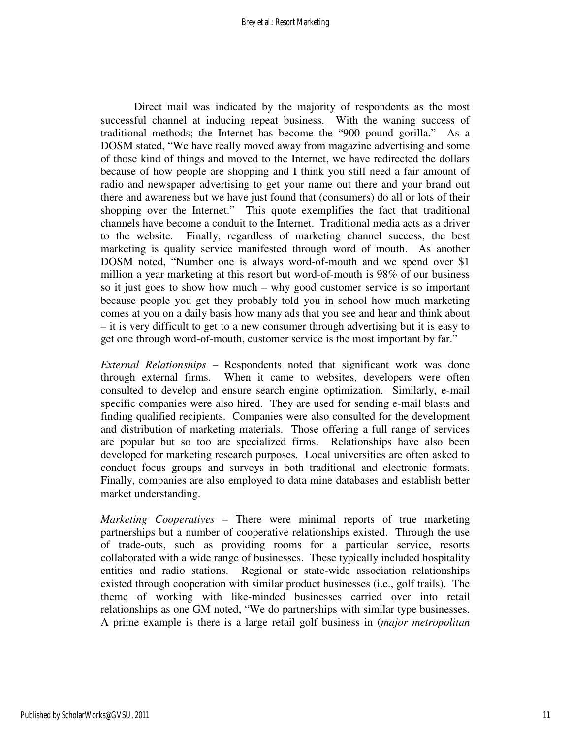Direct mail was indicated by the majority of respondents as the most successful channel at inducing repeat business. With the waning success of traditional methods; the Internet has become the "900 pound gorilla." As a DOSM stated, "We have really moved away from magazine advertising and some of those kind of things and moved to the Internet, we have redirected the dollars because of how people are shopping and I think you still need a fair amount of radio and newspaper advertising to get your name out there and your brand out there and awareness but we have just found that (consumers) do all or lots of their shopping over the Internet." This quote exemplifies the fact that traditional channels have become a conduit to the Internet. Traditional media acts as a driver to the website. Finally, regardless of marketing channel success, the best marketing is quality service manifested through word of mouth. As another DOSM noted, "Number one is always word-of-mouth and we spend over \$1 million a year marketing at this resort but word-of-mouth is 98% of our business so it just goes to show how much – why good customer service is so important because people you get they probably told you in school how much marketing comes at you on a daily basis how many ads that you see and hear and think about – it is very difficult to get to a new consumer through advertising but it is easy to get one through word-of-mouth, customer service is the most important by far."

*External Relationships* – Respondents noted that significant work was done through external firms. When it came to websites, developers were often consulted to develop and ensure search engine optimization. Similarly, e-mail specific companies were also hired. They are used for sending e-mail blasts and finding qualified recipients. Companies were also consulted for the development and distribution of marketing materials. Those offering a full range of services are popular but so too are specialized firms. Relationships have also been developed for marketing research purposes. Local universities are often asked to conduct focus groups and surveys in both traditional and electronic formats. Finally, companies are also employed to data mine databases and establish better market understanding.

*Marketing Cooperatives* – There were minimal reports of true marketing partnerships but a number of cooperative relationships existed. Through the use of trade-outs, such as providing rooms for a particular service, resorts collaborated with a wide range of businesses. These typically included hospitality entities and radio stations. Regional or state-wide association relationships existed through cooperation with similar product businesses (i.e., golf trails). The theme of working with like-minded businesses carried over into retail relationships as one GM noted, "We do partnerships with similar type businesses. A prime example is there is a large retail golf business in (*major metropolitan*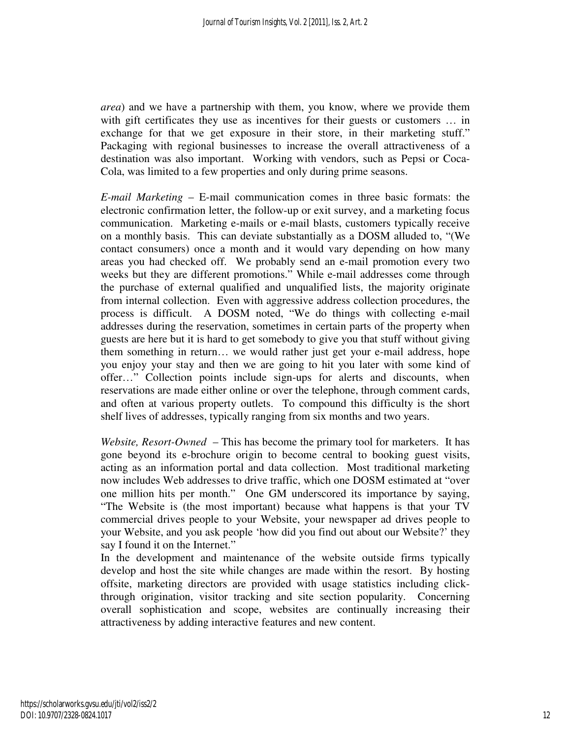*area*) and we have a partnership with them, you know, where we provide them with gift certificates they use as incentives for their guests or customers ... in exchange for that we get exposure in their store, in their marketing stuff." Packaging with regional businesses to increase the overall attractiveness of a destination was also important. Working with vendors, such as Pepsi or Coca-Cola, was limited to a few properties and only during prime seasons.

*E-mail Marketing* – E-mail communication comes in three basic formats: the electronic confirmation letter, the follow-up or exit survey, and a marketing focus communication. Marketing e-mails or e-mail blasts, customers typically receive on a monthly basis. This can deviate substantially as a DOSM alluded to, "(We contact consumers) once a month and it would vary depending on how many areas you had checked off. We probably send an e-mail promotion every two weeks but they are different promotions." While e-mail addresses come through the purchase of external qualified and unqualified lists, the majority originate from internal collection. Even with aggressive address collection procedures, the process is difficult. A DOSM noted, "We do things with collecting e-mail addresses during the reservation, sometimes in certain parts of the property when guests are here but it is hard to get somebody to give you that stuff without giving them something in return… we would rather just get your e-mail address, hope you enjoy your stay and then we are going to hit you later with some kind of offer…" Collection points include sign-ups for alerts and discounts, when reservations are made either online or over the telephone, through comment cards, and often at various property outlets. To compound this difficulty is the short shelf lives of addresses, typically ranging from six months and two years.

*Website, Resort-Owned* – This has become the primary tool for marketers. It has gone beyond its e-brochure origin to become central to booking guest visits, acting as an information portal and data collection. Most traditional marketing now includes Web addresses to drive traffic, which one DOSM estimated at "over one million hits per month." One GM underscored its importance by saying, "The Website is (the most important) because what happens is that your TV commercial drives people to your Website, your newspaper ad drives people to your Website, and you ask people 'how did you find out about our Website?' they say I found it on the Internet."

In the development and maintenance of the website outside firms typically develop and host the site while changes are made within the resort. By hosting offsite, marketing directors are provided with usage statistics including clickthrough origination, visitor tracking and site section popularity. Concerning overall sophistication and scope, websites are continually increasing their attractiveness by adding interactive features and new content.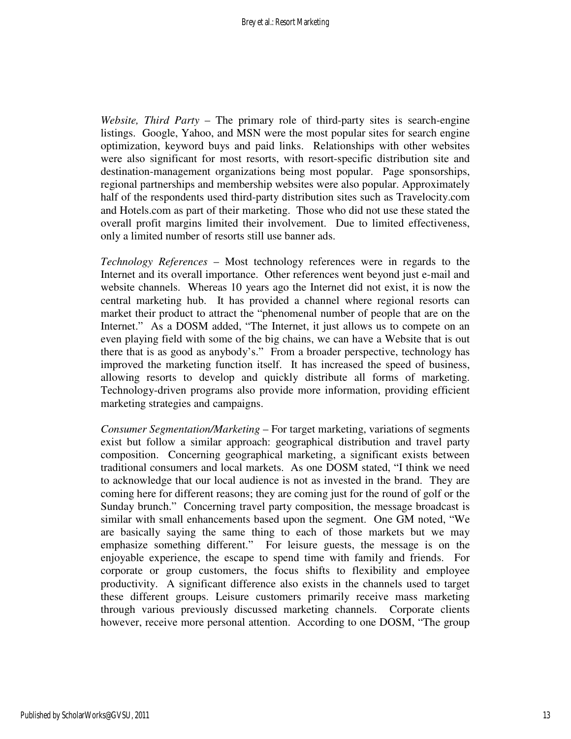*Website, Third Party* – The primary role of third-party sites is search-engine listings. Google, Yahoo, and MSN were the most popular sites for search engine optimization, keyword buys and paid links. Relationships with other websites were also significant for most resorts, with resort-specific distribution site and destination-management organizations being most popular. Page sponsorships, regional partnerships and membership websites were also popular. Approximately half of the respondents used third-party distribution sites such as Travelocity.com and Hotels.com as part of their marketing. Those who did not use these stated the overall profit margins limited their involvement. Due to limited effectiveness, only a limited number of resorts still use banner ads.

*Technology References* – Most technology references were in regards to the Internet and its overall importance. Other references went beyond just e-mail and website channels. Whereas 10 years ago the Internet did not exist, it is now the central marketing hub. It has provided a channel where regional resorts can market their product to attract the "phenomenal number of people that are on the Internet." As a DOSM added, "The Internet, it just allows us to compete on an even playing field with some of the big chains, we can have a Website that is out there that is as good as anybody's." From a broader perspective, technology has improved the marketing function itself. It has increased the speed of business, allowing resorts to develop and quickly distribute all forms of marketing. Technology-driven programs also provide more information, providing efficient marketing strategies and campaigns.

*Consumer Segmentation/Marketing* – For target marketing, variations of segments exist but follow a similar approach: geographical distribution and travel party composition. Concerning geographical marketing, a significant exists between traditional consumers and local markets. As one DOSM stated, "I think we need to acknowledge that our local audience is not as invested in the brand. They are coming here for different reasons; they are coming just for the round of golf or the Sunday brunch." Concerning travel party composition, the message broadcast is similar with small enhancements based upon the segment. One GM noted, "We are basically saying the same thing to each of those markets but we may emphasize something different." For leisure guests, the message is on the enjoyable experience, the escape to spend time with family and friends. For corporate or group customers, the focus shifts to flexibility and employee productivity. A significant difference also exists in the channels used to target these different groups. Leisure customers primarily receive mass marketing through various previously discussed marketing channels. Corporate clients however, receive more personal attention. According to one DOSM, "The group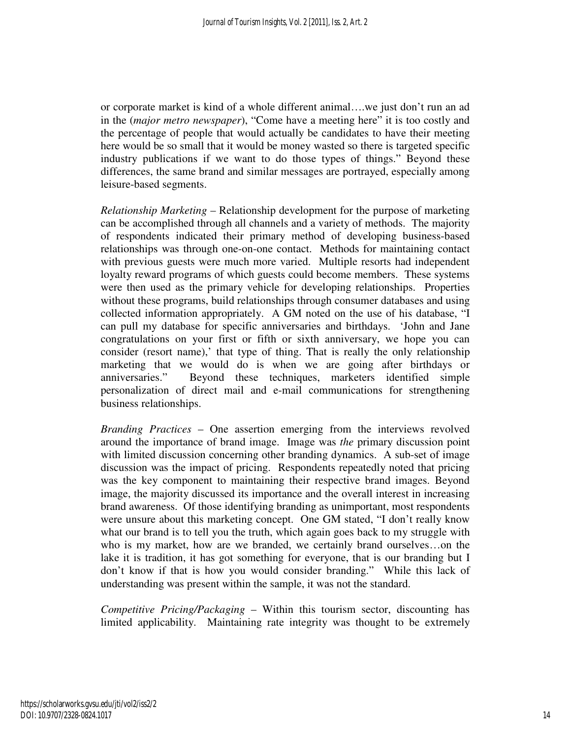or corporate market is kind of a whole different animal….we just don't run an ad in the (*major metro newspaper*), "Come have a meeting here" it is too costly and the percentage of people that would actually be candidates to have their meeting here would be so small that it would be money wasted so there is targeted specific industry publications if we want to do those types of things." Beyond these differences, the same brand and similar messages are portrayed, especially among leisure-based segments.

*Relationship Marketing* – Relationship development for the purpose of marketing can be accomplished through all channels and a variety of methods. The majority of respondents indicated their primary method of developing business-based relationships was through one-on-one contact. Methods for maintaining contact with previous guests were much more varied. Multiple resorts had independent loyalty reward programs of which guests could become members. These systems were then used as the primary vehicle for developing relationships. Properties without these programs, build relationships through consumer databases and using collected information appropriately. A GM noted on the use of his database, "I can pull my database for specific anniversaries and birthdays. 'John and Jane congratulations on your first or fifth or sixth anniversary, we hope you can consider (resort name),' that type of thing. That is really the only relationship marketing that we would do is when we are going after birthdays or anniversaries." Beyond these techniques, marketers identified simple personalization of direct mail and e-mail communications for strengthening business relationships.

*Branding Practices* – One assertion emerging from the interviews revolved around the importance of brand image. Image was *the* primary discussion point with limited discussion concerning other branding dynamics. A sub-set of image discussion was the impact of pricing. Respondents repeatedly noted that pricing was the key component to maintaining their respective brand images. Beyond image, the majority discussed its importance and the overall interest in increasing brand awareness. Of those identifying branding as unimportant, most respondents were unsure about this marketing concept. One GM stated, "I don't really know what our brand is to tell you the truth, which again goes back to my struggle with who is my market, how are we branded, we certainly brand ourselves…on the lake it is tradition, it has got something for everyone, that is our branding but I don't know if that is how you would consider branding." While this lack of understanding was present within the sample, it was not the standard.

*Competitive Pricing/Packaging* – Within this tourism sector, discounting has limited applicability. Maintaining rate integrity was thought to be extremely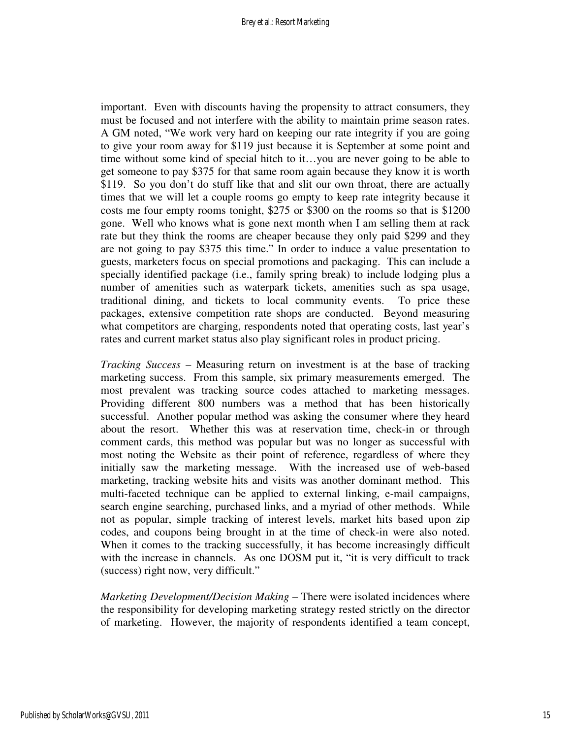important. Even with discounts having the propensity to attract consumers, they must be focused and not interfere with the ability to maintain prime season rates. A GM noted, "We work very hard on keeping our rate integrity if you are going to give your room away for \$119 just because it is September at some point and time without some kind of special hitch to it…you are never going to be able to get someone to pay \$375 for that same room again because they know it is worth \$119. So you don't do stuff like that and slit our own throat, there are actually times that we will let a couple rooms go empty to keep rate integrity because it costs me four empty rooms tonight, \$275 or \$300 on the rooms so that is \$1200 gone. Well who knows what is gone next month when I am selling them at rack rate but they think the rooms are cheaper because they only paid \$299 and they are not going to pay \$375 this time." In order to induce a value presentation to guests, marketers focus on special promotions and packaging. This can include a specially identified package (i.e., family spring break) to include lodging plus a number of amenities such as waterpark tickets, amenities such as spa usage, traditional dining, and tickets to local community events. To price these packages, extensive competition rate shops are conducted. Beyond measuring what competitors are charging, respondents noted that operating costs, last year's rates and current market status also play significant roles in product pricing.

*Tracking Success* – Measuring return on investment is at the base of tracking marketing success. From this sample, six primary measurements emerged. The most prevalent was tracking source codes attached to marketing messages. Providing different 800 numbers was a method that has been historically successful. Another popular method was asking the consumer where they heard about the resort. Whether this was at reservation time, check-in or through comment cards, this method was popular but was no longer as successful with most noting the Website as their point of reference, regardless of where they initially saw the marketing message. With the increased use of web-based marketing, tracking website hits and visits was another dominant method. This multi-faceted technique can be applied to external linking, e-mail campaigns, search engine searching, purchased links, and a myriad of other methods. While not as popular, simple tracking of interest levels, market hits based upon zip codes, and coupons being brought in at the time of check-in were also noted. When it comes to the tracking successfully, it has become increasingly difficult with the increase in channels. As one DOSM put it, "it is very difficult to track (success) right now, very difficult."

*Marketing Development/Decision Making* – There were isolated incidences where the responsibility for developing marketing strategy rested strictly on the director of marketing. However, the majority of respondents identified a team concept,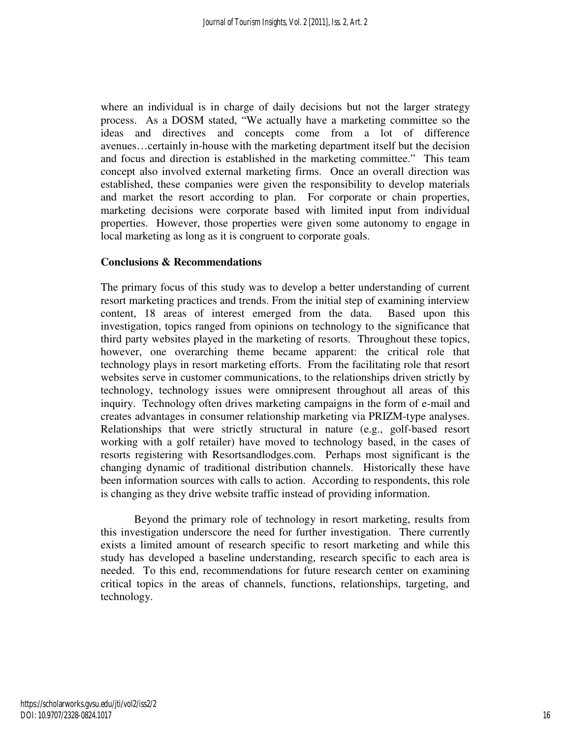where an individual is in charge of daily decisions but not the larger strategy process. As a DOSM stated, "We actually have a marketing committee so the ideas and directives and concepts come from a lot of difference avenues…certainly in-house with the marketing department itself but the decision and focus and direction is established in the marketing committee." This team concept also involved external marketing firms. Once an overall direction was established, these companies were given the responsibility to develop materials and market the resort according to plan. For corporate or chain properties, marketing decisions were corporate based with limited input from individual properties. However, those properties were given some autonomy to engage in local marketing as long as it is congruent to corporate goals.

## **Conclusions & Recommendations**

The primary focus of this study was to develop a better understanding of current resort marketing practices and trends. From the initial step of examining interview content, 18 areas of interest emerged from the data. Based upon this investigation, topics ranged from opinions on technology to the significance that third party websites played in the marketing of resorts. Throughout these topics, however, one overarching theme became apparent: the critical role that technology plays in resort marketing efforts. From the facilitating role that resort websites serve in customer communications, to the relationships driven strictly by technology, technology issues were omnipresent throughout all areas of this inquiry. Technology often drives marketing campaigns in the form of e-mail and creates advantages in consumer relationship marketing via PRIZM-type analyses. Relationships that were strictly structural in nature (e.g., golf-based resort working with a golf retailer) have moved to technology based, in the cases of resorts registering with Resortsandlodges.com. Perhaps most significant is the changing dynamic of traditional distribution channels. Historically these have been information sources with calls to action. According to respondents, this role is changing as they drive website traffic instead of providing information.

Beyond the primary role of technology in resort marketing, results from this investigation underscore the need for further investigation. There currently exists a limited amount of research specific to resort marketing and while this study has developed a baseline understanding, research specific to each area is needed. To this end, recommendations for future research center on examining critical topics in the areas of channels, functions, relationships, targeting, and technology.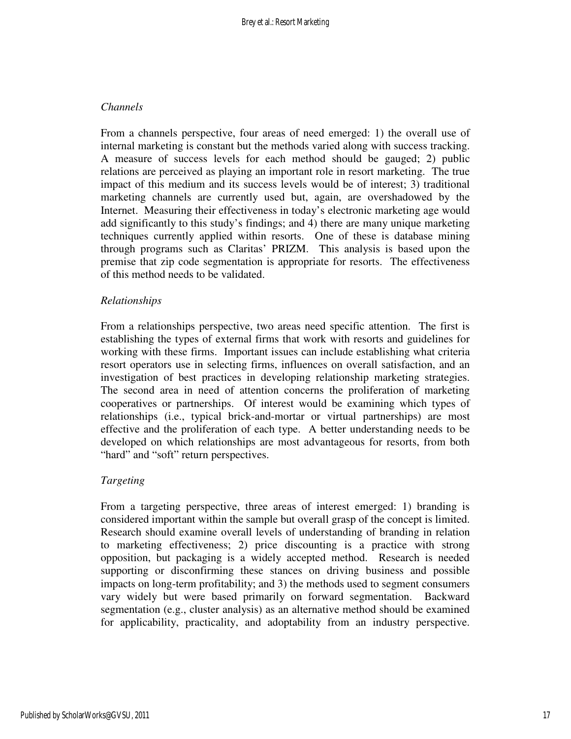### *Channels*

From a channels perspective, four areas of need emerged: 1) the overall use of internal marketing is constant but the methods varied along with success tracking. A measure of success levels for each method should be gauged; 2) public relations are perceived as playing an important role in resort marketing. The true impact of this medium and its success levels would be of interest; 3) traditional marketing channels are currently used but, again, are overshadowed by the Internet. Measuring their effectiveness in today's electronic marketing age would add significantly to this study's findings; and 4) there are many unique marketing techniques currently applied within resorts. One of these is database mining through programs such as Claritas' PRIZM. This analysis is based upon the premise that zip code segmentation is appropriate for resorts. The effectiveness of this method needs to be validated.

#### *Relationships*

From a relationships perspective, two areas need specific attention. The first is establishing the types of external firms that work with resorts and guidelines for working with these firms. Important issues can include establishing what criteria resort operators use in selecting firms, influences on overall satisfaction, and an investigation of best practices in developing relationship marketing strategies. The second area in need of attention concerns the proliferation of marketing cooperatives or partnerships. Of interest would be examining which types of relationships (i.e., typical brick-and-mortar or virtual partnerships) are most effective and the proliferation of each type. A better understanding needs to be developed on which relationships are most advantageous for resorts, from both "hard" and "soft" return perspectives.

## *Targeting*

From a targeting perspective, three areas of interest emerged: 1) branding is considered important within the sample but overall grasp of the concept is limited. Research should examine overall levels of understanding of branding in relation to marketing effectiveness; 2) price discounting is a practice with strong opposition, but packaging is a widely accepted method. Research is needed supporting or disconfirming these stances on driving business and possible impacts on long-term profitability; and 3) the methods used to segment consumers vary widely but were based primarily on forward segmentation. Backward segmentation (e.g., cluster analysis) as an alternative method should be examined for applicability, practicality, and adoptability from an industry perspective.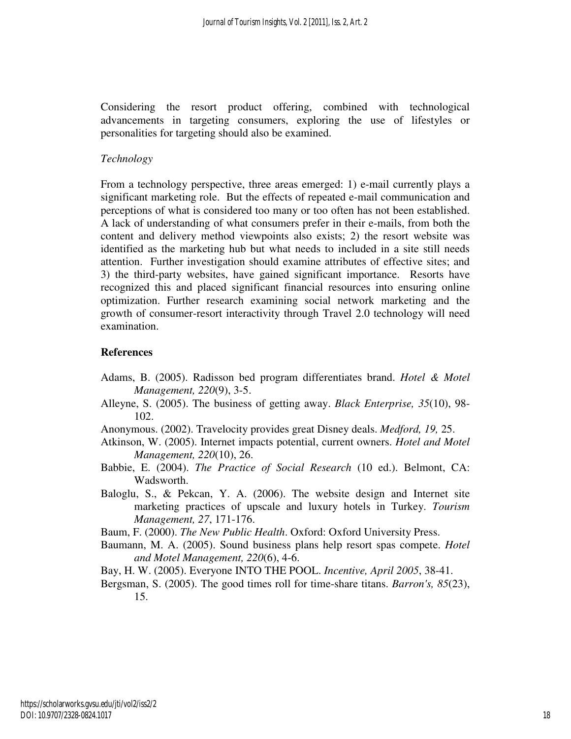Considering the resort product offering, combined with technological advancements in targeting consumers, exploring the use of lifestyles or personalities for targeting should also be examined.

## *Technology*

From a technology perspective, three areas emerged: 1) e-mail currently plays a significant marketing role. But the effects of repeated e-mail communication and perceptions of what is considered too many or too often has not been established. A lack of understanding of what consumers prefer in their e-mails, from both the content and delivery method viewpoints also exists; 2) the resort website was identified as the marketing hub but what needs to included in a site still needs attention. Further investigation should examine attributes of effective sites; and 3) the third-party websites, have gained significant importance. Resorts have recognized this and placed significant financial resources into ensuring online optimization. Further research examining social network marketing and the growth of consumer-resort interactivity through Travel 2.0 technology will need examination.

#### **References**

- Adams, B. (2005). Radisson bed program differentiates brand. *Hotel & Motel Management, 220*(9), 3-5.
- Alleyne, S. (2005). The business of getting away. *Black Enterprise, 35*(10), 98- 102.
- Anonymous. (2002). Travelocity provides great Disney deals. *Medford, 19,* 25.
- Atkinson, W. (2005). Internet impacts potential, current owners. *Hotel and Motel Management, 220*(10), 26.
- Babbie, E. (2004). *The Practice of Social Research* (10 ed.). Belmont, CA: Wadsworth.
- Baloglu, S., & Pekcan, Y. A. (2006). The website design and Internet site marketing practices of upscale and luxury hotels in Turkey. *Tourism Management, 27*, 171-176.
- Baum, F. (2000). *The New Public Health*. Oxford: Oxford University Press.
- Baumann, M. A. (2005). Sound business plans help resort spas compete. *Hotel and Motel Management, 220*(6), 4-6.
- Bay, H. W. (2005). Everyone INTO THE POOL. *Incentive, April 2005*, 38-41.
- Bergsman, S. (2005). The good times roll for time-share titans. *Barron's, 85*(23), 15.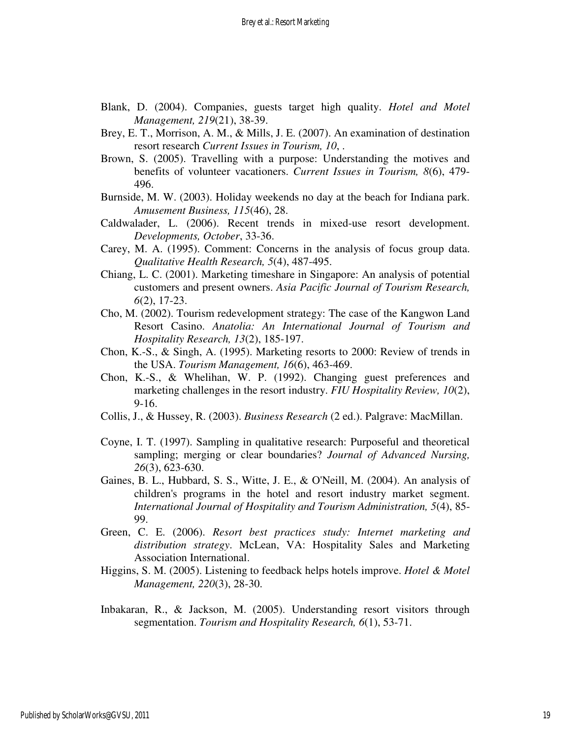- Blank, D. (2004). Companies, guests target high quality. *Hotel and Motel Management, 219*(21), 38-39.
- Brey, E. T., Morrison, A. M., & Mills, J. E. (2007). An examination of destination resort research *Current Issues in Tourism, 10*, .
- Brown, S. (2005). Travelling with a purpose: Understanding the motives and benefits of volunteer vacationers. *Current Issues in Tourism, 8*(6), 479- 496.
- Burnside, M. W. (2003). Holiday weekends no day at the beach for Indiana park. *Amusement Business, 115*(46), 28.
- Caldwalader, L. (2006). Recent trends in mixed-use resort development. *Developments, October*, 33-36.
- Carey, M. A. (1995). Comment: Concerns in the analysis of focus group data. *Qualitative Health Research, 5*(4), 487-495.
- Chiang, L. C. (2001). Marketing timeshare in Singapore: An analysis of potential customers and present owners. *Asia Pacific Journal of Tourism Research, 6*(2), 17-23.
- Cho, M. (2002). Tourism redevelopment strategy: The case of the Kangwon Land Resort Casino. *Anatolia: An International Journal of Tourism and Hospitality Research, 13*(2), 185-197.
- Chon, K.-S., & Singh, A. (1995). Marketing resorts to 2000: Review of trends in the USA. *Tourism Management, 16*(6), 463-469.
- Chon, K.-S., & Whelihan, W. P. (1992). Changing guest preferences and marketing challenges in the resort industry. *FIU Hospitality Review, 10*(2), 9-16.
- Collis, J., & Hussey, R. (2003). *Business Research* (2 ed.). Palgrave: MacMillan.
- Coyne, I. T. (1997). Sampling in qualitative research: Purposeful and theoretical sampling; merging or clear boundaries? *Journal of Advanced Nursing, 26*(3), 623-630.
- Gaines, B. L., Hubbard, S. S., Witte, J. E., & O'Neill, M. (2004). An analysis of children's programs in the hotel and resort industry market segment. *International Journal of Hospitality and Tourism Administration, 5*(4), 85- 99.
- Green, C. E. (2006). *Resort best practices study: Internet marketing and distribution strategy*. McLean, VA: Hospitality Sales and Marketing Association International.
- Higgins, S. M. (2005). Listening to feedback helps hotels improve. *Hotel & Motel Management, 220*(3), 28-30.
- Inbakaran, R., & Jackson, M. (2005). Understanding resort visitors through segmentation. *Tourism and Hospitality Research, 6*(1), 53-71.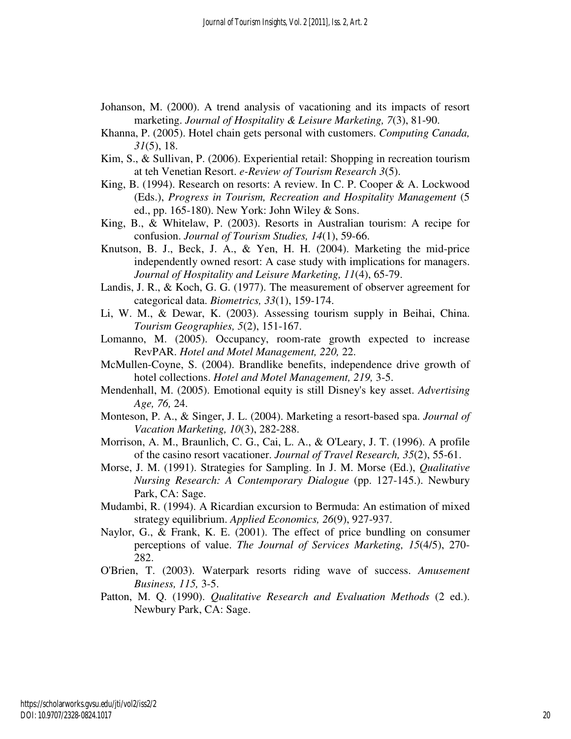- Johanson, M. (2000). A trend analysis of vacationing and its impacts of resort marketing. *Journal of Hospitality & Leisure Marketing, 7*(3), 81-90.
- Khanna, P. (2005). Hotel chain gets personal with customers. *Computing Canada, 31*(5), 18.
- Kim, S., & Sullivan, P. (2006). Experiential retail: Shopping in recreation tourism at teh Venetian Resort. *e-Review of Tourism Research 3*(5).
- King, B. (1994). Research on resorts: A review. In C. P. Cooper & A. Lockwood (Eds.), *Progress in Tourism, Recreation and Hospitality Management* (5 ed., pp. 165-180). New York: John Wiley & Sons.
- King, B., & Whitelaw, P. (2003). Resorts in Australian tourism: A recipe for confusion. *Journal of Tourism Studies, 14*(1), 59-66.
- Knutson, B. J., Beck, J. A., & Yen, H. H. (2004). Marketing the mid-price independently owned resort: A case study with implications for managers. *Journal of Hospitality and Leisure Marketing, 11*(4), 65-79.
- Landis, J. R., & Koch, G. G. (1977). The measurement of observer agreement for categorical data. *Biometrics, 33*(1), 159-174.
- Li, W. M., & Dewar, K. (2003). Assessing tourism supply in Beihai, China. *Tourism Geographies, 5*(2), 151-167.
- Lomanno, M. (2005). Occupancy, room-rate growth expected to increase RevPAR. *Hotel and Motel Management, 220,* 22.
- McMullen-Coyne, S. (2004). Brandlike benefits, independence drive growth of hotel collections. *Hotel and Motel Management, 219,* 3-5.
- Mendenhall, M. (2005). Emotional equity is still Disney's key asset. *Advertising Age, 76,* 24.
- Monteson, P. A., & Singer, J. L. (2004). Marketing a resort-based spa. *Journal of Vacation Marketing, 10*(3), 282-288.
- Morrison, A. M., Braunlich, C. G., Cai, L. A., & O'Leary, J. T. (1996). A profile of the casino resort vacationer. *Journal of Travel Research, 35*(2), 55-61.
- Morse, J. M. (1991). Strategies for Sampling. In J. M. Morse (Ed.), *Qualitative Nursing Research: A Contemporary Dialogue* (pp. 127-145.). Newbury Park, CA: Sage.
- Mudambi, R. (1994). A Ricardian excursion to Bermuda: An estimation of mixed strategy equilibrium. *Applied Economics, 26*(9), 927-937.
- Naylor, G., & Frank, K. E. (2001). The effect of price bundling on consumer perceptions of value. *The Journal of Services Marketing, 15*(4/5), 270- 282.
- O'Brien, T. (2003). Waterpark resorts riding wave of success. *Amusement Business, 115,* 3-5.
- Patton, M. Q. (1990). *Qualitative Research and Evaluation Methods* (2 ed.). Newbury Park, CA: Sage.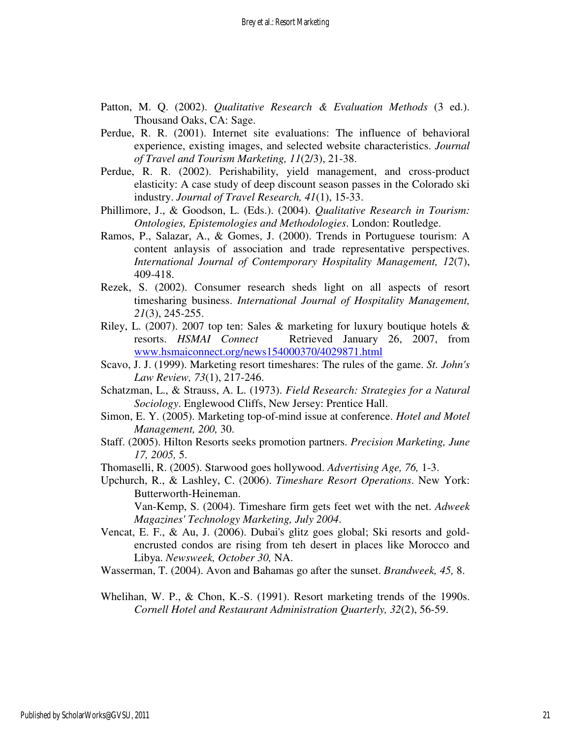- Patton, M. Q. (2002). *Qualitative Research & Evaluation Methods* (3 ed.). Thousand Oaks, CA: Sage.
- Perdue, R. R. (2001). Internet site evaluations: The influence of behavioral experience, existing images, and selected website characteristics. *Journal of Travel and Tourism Marketing, 11*(2/3), 21-38.
- Perdue, R. R. (2002). Perishability, yield management, and cross-product elasticity: A case study of deep discount season passes in the Colorado ski industry. *Journal of Travel Research, 41*(1), 15-33.
- Phillimore, J., & Goodson, L. (Eds.). (2004). *Qualitative Research in Tourism: Ontologies, Epistemologies and Methodologies*. London: Routledge.
- Ramos, P., Salazar, A., & Gomes, J. (2000). Trends in Portuguese tourism: A content anlaysis of association and trade representative perspectives. *International Journal of Contemporary Hospitality Management, 12*(7), 409-418.
- Rezek, S. (2002). Consumer research sheds light on all aspects of resort timesharing business. *International Journal of Hospitality Management, 21*(3), 245-255.
- Riley, L. (2007). 2007 top ten: Sales & marketing for luxury boutique hotels  $\&$ resorts. *HSMAI Connect* Retrieved January 26, 2007, from www.hsmaiconnect.org/news154000370/4029871.html
- Scavo, J. J. (1999). Marketing resort timeshares: The rules of the game. *St. John's Law Review, 73*(1), 217-246.
- Schatzman, L., & Strauss, A. L. (1973). *Field Research: Strategies for a Natural Sociology*. Englewood Cliffs, New Jersey: Prentice Hall.
- Simon, E. Y. (2005). Marketing top-of-mind issue at conference. *Hotel and Motel Management, 200,* 30.
- Staff. (2005). Hilton Resorts seeks promotion partners. *Precision Marketing, June 17, 2005,* 5.
- Thomaselli, R. (2005). Starwood goes hollywood. *Advertising Age, 76,* 1-3.
- Upchurch, R., & Lashley, C. (2006). *Timeshare Resort Operations*. New York: Butterworth-Heineman.

 Van-Kemp, S. (2004). Timeshare firm gets feet wet with the net. *Adweek Magazines' Technology Marketing, July 2004*.

Vencat, E. F., & Au, J. (2006). Dubai's glitz goes global; Ski resorts and goldencrusted condos are rising from teh desert in places like Morocco and Libya. *Newsweek, October 30,* NA.

Wasserman, T. (2004). Avon and Bahamas go after the sunset. *Brandweek, 45,* 8.

Whelihan, W. P., & Chon, K.-S. (1991). Resort marketing trends of the 1990s. *Cornell Hotel and Restaurant Administration Quarterly, 32*(2), 56-59.